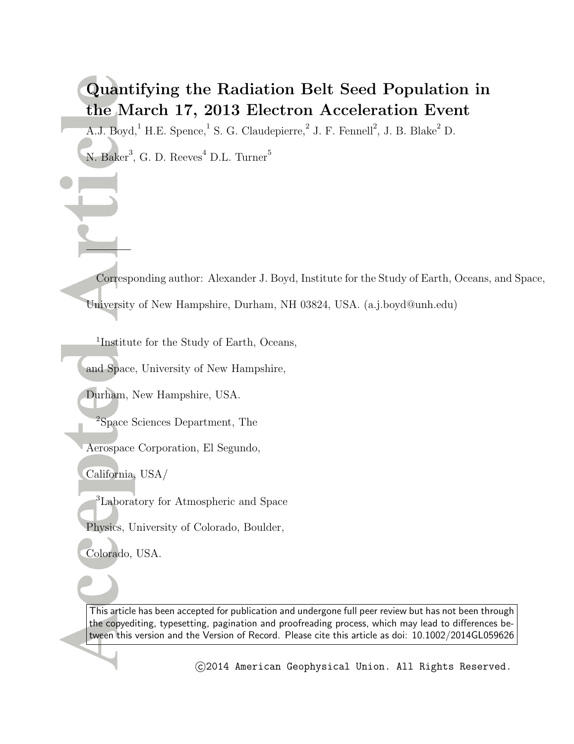# **Quantifying the Radiation Belt Seed Population in the March 17, 2013 Electron Acceleration Event**

A.J. Boyd,<sup>1</sup> H.E. Spence,<sup>1</sup> S. G. Claudepierre,<sup>2</sup> J. F. Fennell<sup>2</sup>, J. B. Blake<sup>2</sup> D.

N. Baker<sup>3</sup>, G. D. Reeves<sup>4</sup> D.L. Turner<sup>5</sup>

Corresponding author: Alexander J. Boyd, Institute for the Study of Earth, Oceans, and Space, University of New Hampshire, Durham, NH 03824, USA. (a.j.boyd@unh.edu)

1 Institute for the Study of Earth, Oceans,

and Space, University of New Hampshire,

Durham, New Hampshire, USA.

<sup>2</sup>Space Sciences Department, The

Aerospace Corporation, El Segundo,

California, USA/

<sup>3</sup>Laboratory for Atmospheric and Space

Physics, University of Colorado, Boulder,

Colorado, USA.

This article has been accepted for publication and undergone full peer review but has not been through the copyediting, typesetting, pagination and proofreading process, which may lead to differences between this version and the Version of Record. Please cite this article as doi: 10.1002/2014GL059626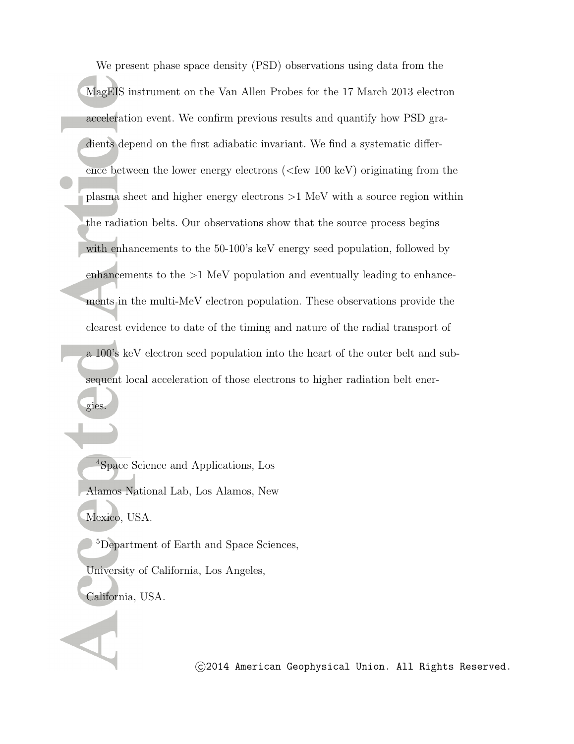We present phase space density (PSD) observations using data from the MagEIS instrument on the Van Allen Probes for the 17 March 2013 electron acceleration event. We confirm previous results and quantify how PSD gradients depend on the first adiabatic invariant. We find a systematic difference between the lower energy electrons (*<*few 100 keV) originating from the plasma sheet and higher energy electrons *>*1 MeV with a source region within the radiation belts. Our observations show that the source process begins with enhancements to the 50-100's keV energy seed population, followed by enhancements to the *>*1 MeV population and eventually leading to enhancements in the multi-MeV electron population. These observations provide the clearest evidence to date of the timing and nature of the radial transport of a 100's keV electron seed population into the heart of the outer belt and subsequent local acceleration of those electrons to higher radiation belt ener-

<sup>4</sup>Space Science and Applications, Los Alamos National Lab, Los Alamos, New Mexico, USA.

gies.

<sup>5</sup>Department of Earth and Space Sciences, University of California, Los Angeles, California, USA.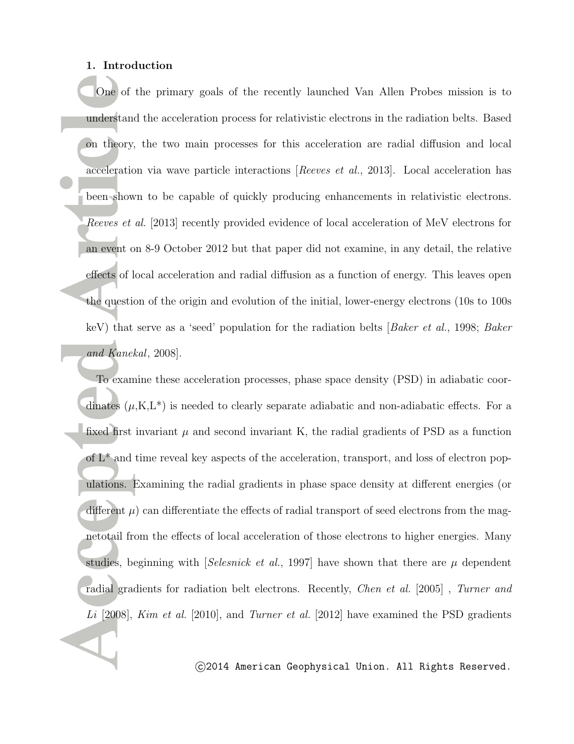#### **1. Introduction**

One of the primary goals of the recently launched Van Allen Probes mission is to understand the acceleration process for relativistic electrons in the radiation belts. Based on theory, the two main processes for this acceleration are radial diffusion and local acceleration via wave particle interactions [*Reeves et al.*, 2013]. Local acceleration has been shown to be capable of quickly producing enhancements in relativistic electrons. *Reeves et al.* [2013] recently provided evidence of local acceleration of MeV electrons for an event on 8-9 October 2012 but that paper did not examine, in any detail, the relative effects of local acceleration and radial diffusion as a function of energy. This leaves open the question of the origin and evolution of the initial, lower-energy electrons (10s to 100s keV) that serve as a 'seed' population for the radiation belts [*Baker et al.*, 1998; *Baker and Kanekal*, 2008].

To examine these acceleration processes, phase space density (PSD) in adiabatic coordinates  $(\mu, K, L^*)$  is needed to clearly separate adiabatic and non-adiabatic effects. For a fixed first invariant  $\mu$  and second invariant K, the radial gradients of PSD as a function of L\* and time reveal key aspects of the acceleration, transport, and loss of electron populations. Examining the radial gradients in phase space density at different energies (or different  $\mu$ ) can differentiate the effects of radial transport of seed electrons from the magnetotail from the effects of local acceleration of those electrons to higher energies. Many studies, beginning with [*Selesnick et al.*, 1997] have shown that there are *µ* dependent radial gradients for radiation belt electrons. Recently, *Chen et al.* [2005] , *Turner and Li* [2008], *Kim et al.* [2010], and *Turner et al.* [2012] have examined the PSD gradients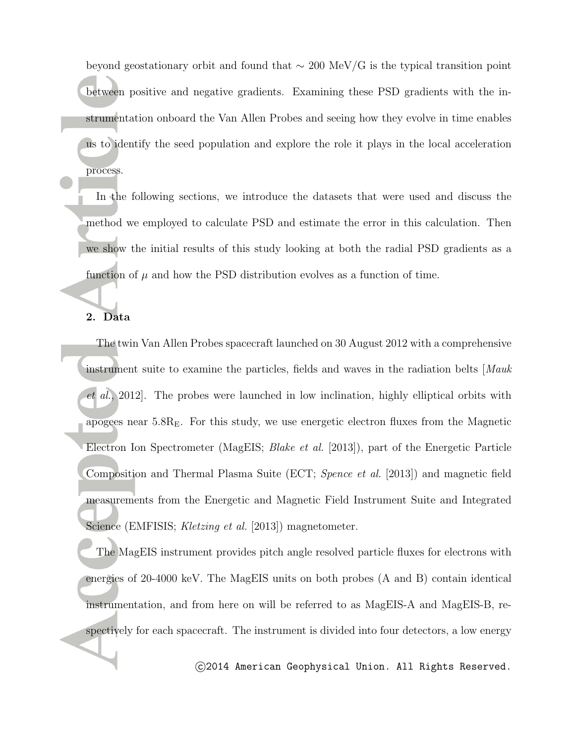beyond geostationary orbit and found that *∼* 200 MeV/G is the typical transition point between positive and negative gradients. Examining these PSD gradients with the instrumentation onboard the Van Allen Probes and seeing how they evolve in time enables us to identify the seed population and explore the role it plays in the local acceleration process.

In the following sections, we introduce the datasets that were used and discuss the method we employed to calculate PSD and estimate the error in this calculation. Then we show the initial results of this study looking at both the radial PSD gradients as a function of  $\mu$  and how the PSD distribution evolves as a function of time.

#### **2. Data**

The twin Van Allen Probes spacecraft launched on 30 August 2012 with a comprehensive instrument suite to examine the particles, fields and waves in the radiation belts [*Mauk et al.*, 2012]. The probes were launched in low inclination, highly elliptical orbits with apogees near  $5.8R<sub>E</sub>$ . For this study, we use energetic electron fluxes from the Magnetic Electron Ion Spectrometer (MagEIS; *Blake et al.* [2013]), part of the Energetic Particle Composition and Thermal Plasma Suite (ECT; *Spence et al.* [2013]) and magnetic field measurements from the Energetic and Magnetic Field Instrument Suite and Integrated Science (EMFISIS; *Kletzing et al.* [2013]) magnetometer.

The MagEIS instrument provides pitch angle resolved particle fluxes for electrons with energies of 20-4000 keV. The MagEIS units on both probes (A and B) contain identical instrumentation, and from here on will be referred to as MagEIS-A and MagEIS-B, respectively for each spacecraft. The instrument is divided into four detectors, a low energy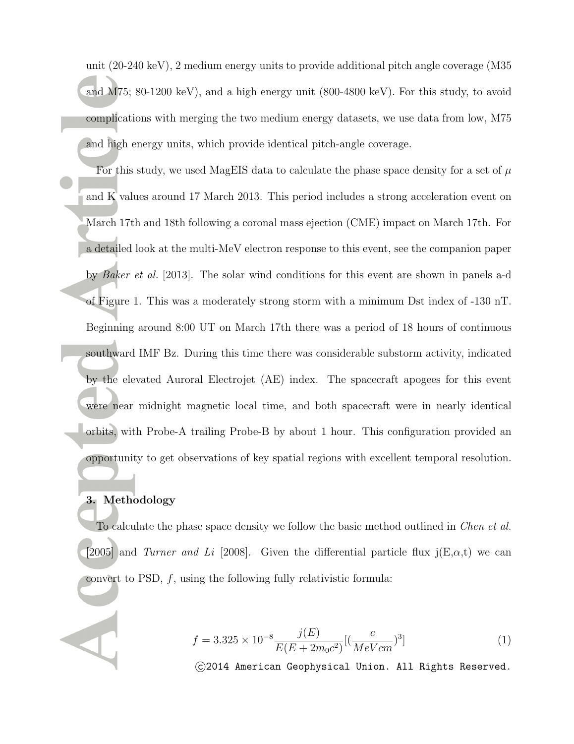unit (20-240 keV), 2 medium energy units to provide additional pitch angle coverage (M35 and M75; 80-1200 keV), and a high energy unit (800-4800 keV). For this study, to avoid complications with merging the two medium energy datasets, we use data from low, M75 and high energy units, which provide identical pitch-angle coverage.

For this study, we used MagEIS data to calculate the phase space density for a set of *µ* and  $\hat{K}$  values around 17 March 2013. This period includes a strong acceleration event on March 17th and 18th following a coronal mass ejection (CME) impact on March 17th. For a detailed look at the multi-MeV electron response to this event, see the companion paper by *Baker et al.* [2013]. The solar wind conditions for this event are shown in panels a-d of Figure 1. This was a moderately strong storm with a minimum Dst index of -130 nT. Beginning around 8:00 UT on March 17th there was a period of 18 hours of continuous southward IMF Bz. During this time there was considerable substorm activity, indicated by the elevated Auroral Electrojet (AE) index. The spacecraft apogees for this event were near midnight magnetic local time, and both spacecraft were in nearly identical orbits, with Probe-A trailing Probe-B by about 1 hour. This configuration provided an opportunity to get observations of key spatial regions with excellent temporal resolution.

### **3. Methodology**

To calculate the phase space density we follow the basic method outlined in *Chen et al.* [2005] and *Turner and Li* [2008]. Given the differential particle flux  $i(E, \alpha, t)$  we can convert to PSD, *f*, using the following fully relativistic formula:

$$
f = 3.325 \times 10^{-8} \frac{j(E)}{E(E + 2m_0c^2)} [(\frac{c}{MeVcm})^3]
$$
 (1)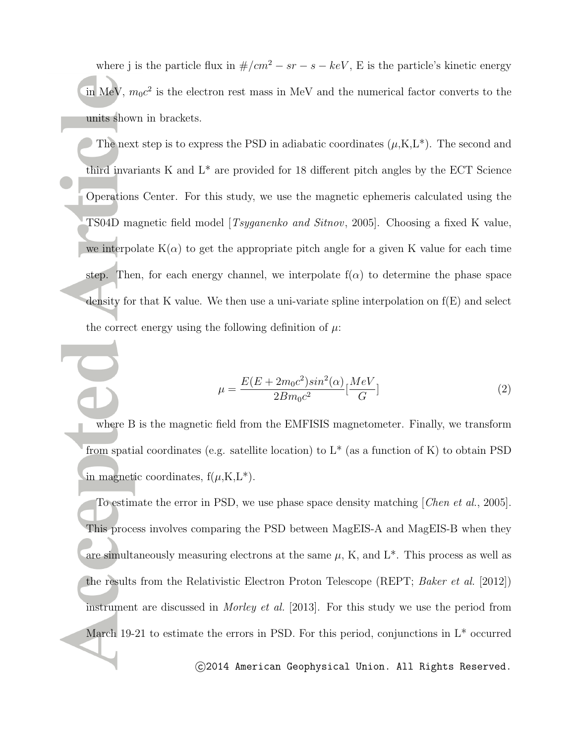where j is the particle flux in  $\#/cm^2 - sr - s - keV$ , E is the particle's kinetic energy in MeV,  $m_0c^2$  is the electron rest mass in MeV and the numerical factor converts to the units shown in brackets.

The next step is to express the PSD in adiabatic coordinates  $(\mu, K, L^*)$ . The second and third invariants K and L\* are provided for 18 different pitch angles by the ECT Science Operations Center. For this study, we use the magnetic ephemeris calculated using the TS04D magnetic field model [*Tsyganenko and Sitnov*, 2005]. Choosing a fixed K value, we interpolate  $K(\alpha)$  to get the appropriate pitch angle for a given K value for each time step. Then, for each energy channel, we interpolate  $f(\alpha)$  to determine the phase space density for that K value. We then use a uni-variate spline interpolation on  $f(E)$  and select the correct energy using the following definition of  $\mu$ .

$$
\mu = \frac{E(E + 2m_0c^2)sin^2(\alpha)}{2Bm_0c^2} \left[\frac{MeV}{G}\right]
$$
\n(2)

where B is the magnetic field from the EMFISIS magnetometer. Finally, we transform from spatial coordinates (e.g. satellite location) to  $L^*$  (as a function of K) to obtain PSD in magnetic coordinates,  $f(\mu, K, L^*)$ .

To estimate the error in PSD, we use phase space density matching [*Chen et al.*, 2005]. This process involves comparing the PSD between MagEIS-A and MagEIS-B when they are simultaneously measuring electrons at the same  $\mu$ , K, and  $L^*$ . This process as well as the results from the Relativistic Electron Proton Telescope (REPT; *Baker et al.* [2012]) instrument are discussed in *Morley et al.* [2013]. For this study we use the period from March 19-21 to estimate the errors in PSD. For this period, conjunctions in  $L^*$  occurred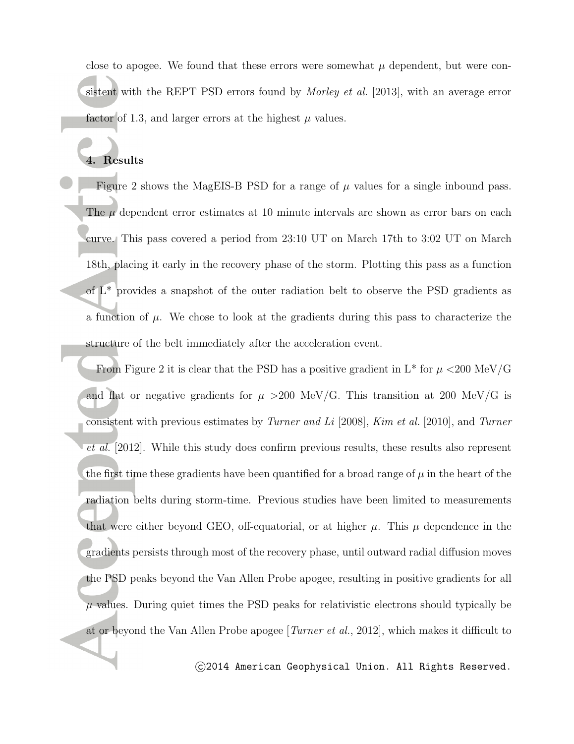close to apogee. We found that these errors were somewhat  $\mu$  dependent, but were consistent with the REPT PSD errors found by *Morley et al.* [2013], with an average error factor of 1.3, and larger errors at the highest  $\mu$  values.

# **4. Results**

Figure 2 shows the MagEIS-B PSD for a range of  $\mu$  values for a single inbound pass. The *µ* dependent error estimates at 10 minute intervals are shown as error bars on each curve. This pass covered a period from 23:10 UT on March 17th to 3:02 UT on March 18th, placing it early in the recovery phase of the storm. Plotting this pass as a function of  $L^*$  provides a snapshot of the outer radiation belt to observe the PSD gradients as a function of  $\mu$ . We chose to look at the gradients during this pass to characterize the structure of the belt immediately after the acceleration event.

From Figure 2 it is clear that the PSD has a positive gradient in  $L^*$  for  $\mu < 200 \text{ MeV/G}$ and flat or negative gradients for  $\mu > 200$  MeV/G. This transition at 200 MeV/G is consistent with previous estimates by *Turner and Li* [2008], *Kim et al.* [2010], and *Turner et al.* [2012]. While this study does confirm previous results, these results also represent the first time these gradients have been quantified for a broad range of  $\mu$  in the heart of the radiation belts during storm-time. Previous studies have been limited to measurements that were either beyond GEO, off-equatorial, or at higher  $\mu$ . This  $\mu$  dependence in the gradients persists through most of the recovery phase, until outward radial diffusion moves the PSD peaks beyond the Van Allen Probe apogee, resulting in positive gradients for all  $\mu$  values. During quiet times the PSD peaks for relativistic electrons should typically be at or beyond the Van Allen Probe apogee [*Turner et al.*, 2012], which makes it difficult to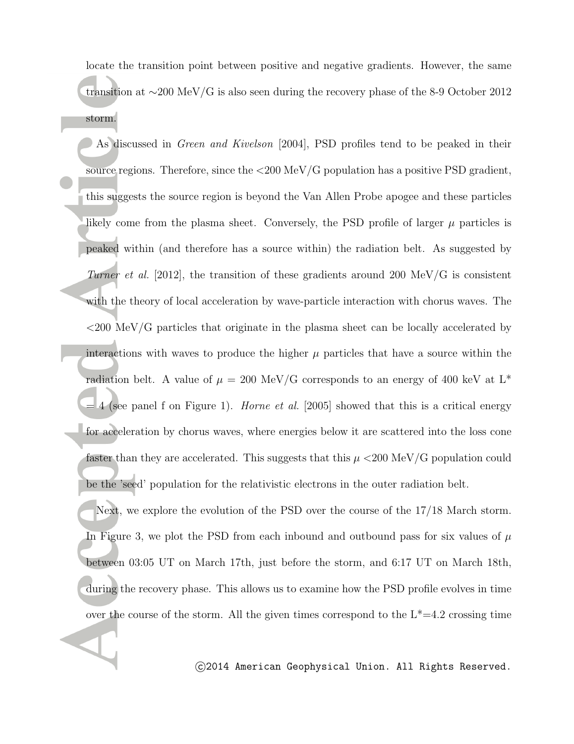locate the transition point between positive and negative gradients. However, the same transition at *∼*200 MeV/G is also seen during the recovery phase of the 8-9 October 2012 storm.

As discussed in *Green and Kivelson* [2004], PSD profiles tend to be peaked in their source regions. Therefore, since the *<*200 MeV/G population has a positive PSD gradient, this suggests the source region is beyond the Van Allen Probe apogee and these particles likely come from the plasma sheet. Conversely, the PSD profile of larger *µ* particles is peaked within (and therefore has a source within) the radiation belt. As suggested by *Turner et al.* [2012], the transition of these gradients around 200 MeV/G is consistent with the theory of local acceleration by wave-particle interaction with chorus waves. The *<*200 MeV/G particles that originate in the plasma sheet can be locally accelerated by interactions with waves to produce the higher  $\mu$  particles that have a source within the radiation belt. A value of  $\mu = 200 \text{ MeV/G}$  corresponds to an energy of 400 keV at L<sup>\*</sup> = 4 (see panel f on Figure 1). *Horne et al.* [2005] showed that this is a critical energy for acceleration by chorus waves, where energies below it are scattered into the loss cone faster than they are accelerated. This suggests that this  $\mu < 200 \text{ MeV/G}$  population could be the 'seed' population for the relativistic electrons in the outer radiation belt.

Next, we explore the evolution of the PSD over the course of the 17/18 March storm. In Figure 3, we plot the PSD from each inbound and outbound pass for six values of  $\mu$ between 03:05 UT on March 17th, just before the storm, and 6:17 UT on March 18th, during the recovery phase. This allows us to examine how the PSD profile evolves in time over the course of the storm. All the given times correspond to the  $L^*=4.2$  crossing time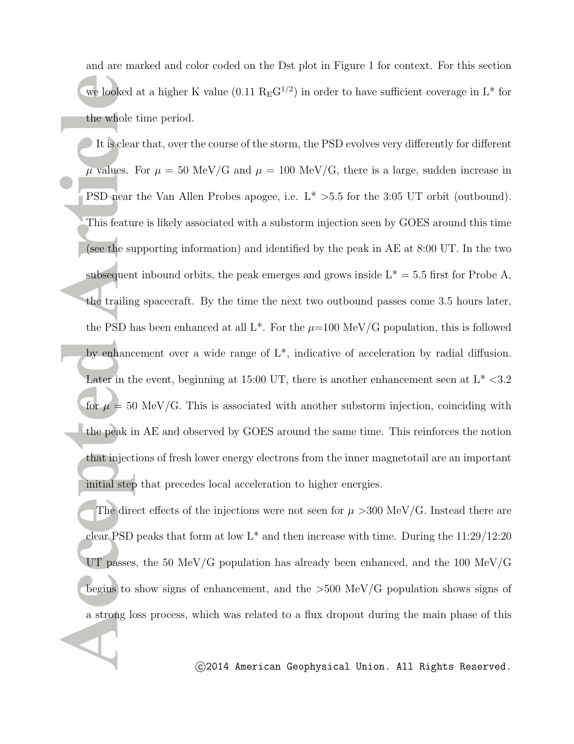and are marked and color coded on the Dst plot in Figure 1 for context. For this section we looked at a higher K value  $(0.11 \text{ R}_{\text{E}} \text{G}^{1/2})$  in order to have sufficient coverage in L<sup>\*</sup> for the whole time period.

It is clear that, over the course of the storm, the PSD evolves very differently for different  $\mu$  values. For  $\mu = 50$  MeV/G and  $\mu = 100$  MeV/G, there is a large, sudden increase in PSD near the Van Allen Probes apogee, i.e. L\* *>*5.5 for the 3:05 UT orbit (outbound). This feature is likely associated with a substorm injection seen by GOES around this time (see the supporting information) and identified by the peak in AE at 8:00 UT. In the two subsequent inbound orbits, the peak emerges and grows inside  $L^* = 5.5$  first for Probe A, the trailing spacecraft. By the time the next two outbound passes come 3.5 hours later, the PSD has been enhanced at all  $L^*$ . For the  $\mu$ =100 MeV/G population, this is followed by enhancement over a wide range of L\*, indicative of acceleration by radial diffusion. Later in the event, beginning at 15:00 UT, there is another enhancement seen at L\* *<*3.2 for  $\mu = 50$  MeV/G. This is associated with another substorm injection, coinciding with the peak in AE and observed by GOES around the same time. This reinforces the notion that injections of fresh lower energy electrons from the inner magnetotail are an important initial step that precedes local acceleration to higher energies.

The direct effects of the injections were not seen for  $\mu > 300 \text{ MeV/G}$ . Instead there are clear PSD peaks that form at low  $L^*$  and then increase with time. During the  $11:29/12:20$ UT passes, the 50 MeV/G population has already been enhanced, and the 100 MeV/G begins to show signs of enhancement, and the *>*500 MeV/G population shows signs of a strong loss process, which was related to a flux dropout during the main phase of this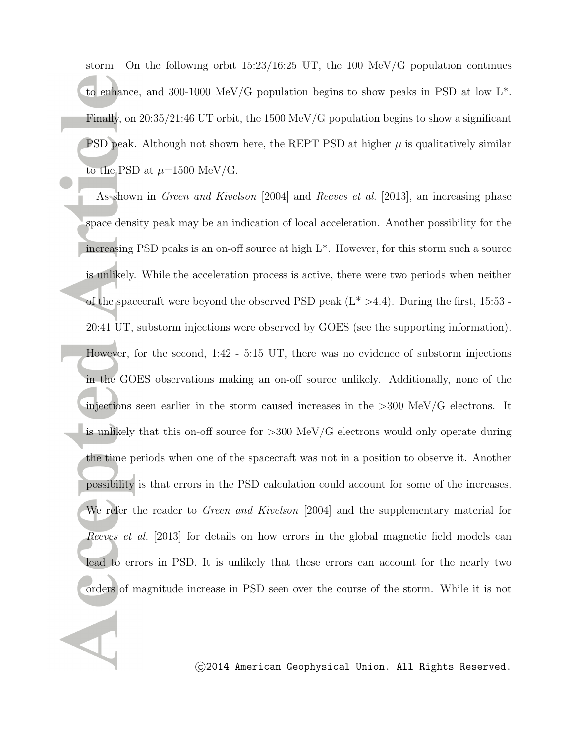storm. On the following orbit  $15:23/16:25$  UT, the 100 MeV/G population continues to enhance, and 300-1000 MeV/G population begins to show peaks in PSD at low L\*. Finally, on 20:35/21:46 UT orbit, the 1500 MeV/G population begins to show a significant PSD peak. Although not shown here, the REPT PSD at higher  $\mu$  is qualitatively similar to the PSD at  $\mu$ =1500 MeV/G.

As shown in *Green and Kivelson* [2004] and *Reeves et al.* [2013], an increasing phase space density peak may be an indication of local acceleration. Another possibility for the increasing PSD peaks is an on-off source at high L\*. However, for this storm such a source is unlikely. While the acceleration process is active, there were two periods when neither of the spacecraft were beyond the observed PSD peak (L\* *>*4.4). During the first, 15:53 - 20:41 UT, substorm injections were observed by GOES (see the supporting information). However, for the second, 1:42 - 5:15 UT, there was no evidence of substorm injections in the GOES observations making an on-off source unlikely. Additionally, none of the injections seen earlier in the storm caused increases in the *>*300 MeV/G electrons. It is unlikely that this on-off source for *>*300 MeV/G electrons would only operate during the time periods when one of the spacecraft was not in a position to observe it. Another possibility is that errors in the PSD calculation could account for some of the increases. We refer the reader to *Green and Kivelson* [2004] and the supplementary material for *Reeves et al.* [2013] for details on how errors in the global magnetic field models can lead to errors in PSD. It is unlikely that these errors can account for the nearly two orders of magnitude increase in PSD seen over the course of the storm. While it is not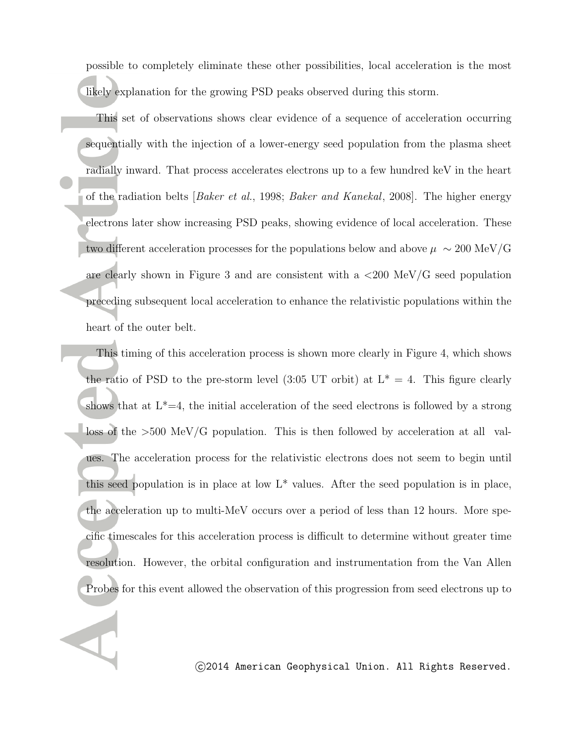possible to completely eliminate these other possibilities, local acceleration is the most likely explanation for the growing PSD peaks observed during this storm.

This set of observations shows clear evidence of a sequence of acceleration occurring sequentially with the injection of a lower-energy seed population from the plasma sheet radially inward. That process accelerates electrons up to a few hundred keV in the heart of the radiation belts [*Baker et al.*, 1998; *Baker and Kanekal*, 2008]. The higher energy electrons later show increasing PSD peaks, showing evidence of local acceleration. These two different acceleration processes for the populations below and above  $\mu \sim 200$  MeV/G are clearly shown in Figure 3 and are consistent with a *<*200 MeV/G seed population preceding subsequent local acceleration to enhance the relativistic populations within the heart of the outer belt.

This timing of this acceleration process is shown more clearly in Figure 4, which shows the ratio of PSD to the pre-storm level (3:05 UT orbit) at  $L^* = 4$ . This figure clearly shows that at  $L^*=4$ , the initial acceleration of the seed electrons is followed by a strong loss of the *>*500 MeV/G population. This is then followed by acceleration at all values. The acceleration process for the relativistic electrons does not seem to begin until this seed population is in place at low  $L^*$  values. After the seed population is in place, the acceleration up to multi-MeV occurs over a period of less than 12 hours. More specific timescales for this acceleration process is difficult to determine without greater time resolution. However, the orbital configuration and instrumentation from the Van Allen Probes for this event allowed the observation of this progression from seed electrons up to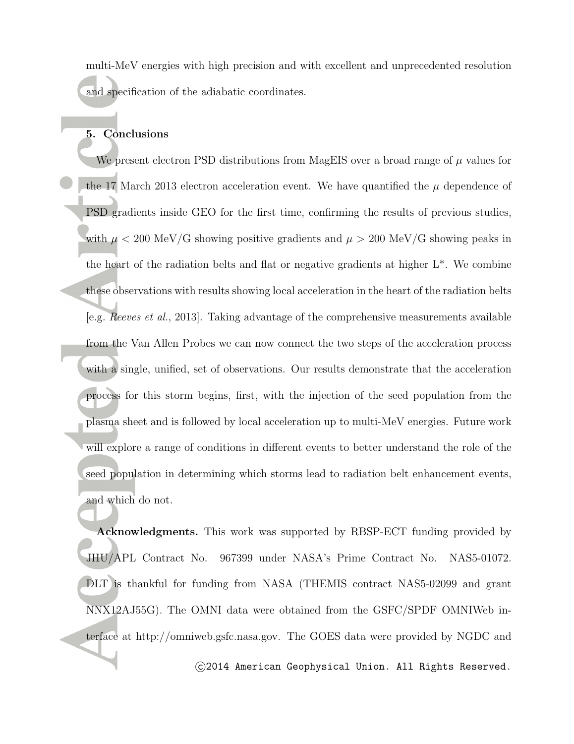multi-MeV energies with high precision and with excellent and unprecedented resolution and specification of the adiabatic coordinates.

## **5. Conclusions**

We present electron PSD distributions from MagEIS over a broad range of *µ* values for the 17 March 2013 electron acceleration event. We have quantified the  $\mu$  dependence of PSD gradients inside GEO for the first time, confirming the results of previous studies, with  $\mu$  < 200 MeV/G showing positive gradients and  $\mu > 200$  MeV/G showing peaks in the heart of the radiation belts and flat or negative gradients at higher  $L^*$ . We combine these observations with results showing local acceleration in the heart of the radiation belts [e.g. *Reeves et al.*, 2013]. Taking advantage of the comprehensive measurements available from the Van Allen Probes we can now connect the two steps of the acceleration process with a single, unified, set of observations. Our results demonstrate that the acceleration process for this storm begins, first, with the injection of the seed population from the plasma sheet and is followed by local acceleration up to multi-MeV energies. Future work will explore a range of conditions in different events to better understand the role of the seed population in determining which storms lead to radiation belt enhancement events, and which do not.

**Acknowledgments.** This work was supported by RBSP-ECT funding provided by JHU/APL Contract No. 967399 under NASA's Prime Contract No. NAS5-01072. DLT is thankful for funding from NASA (THEMIS contract NAS5-02099 and grant NNX12AJ55G). The OMNI data were obtained from the GSFC/SPDF OMNIWeb interface at http://omniweb.gsfc.nasa.gov. The GOES data were provided by NGDC and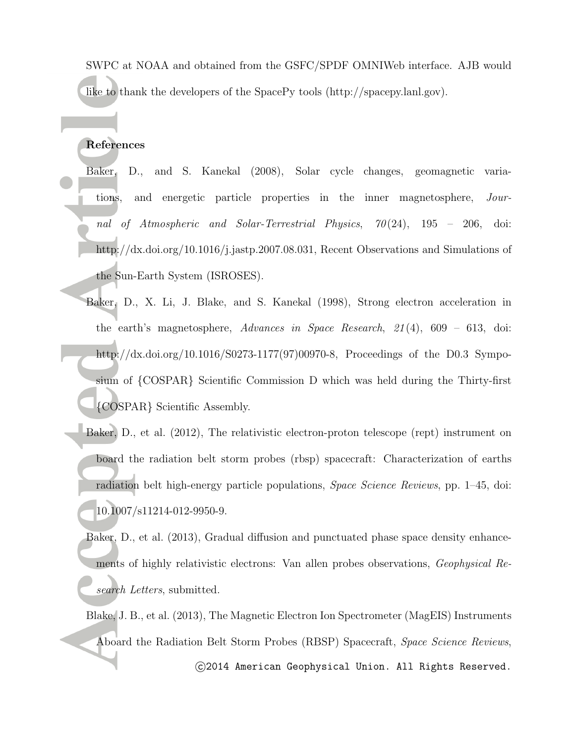SWPC at NOAA and obtained from the GSFC/SPDF OMNIWeb interface. AJB would like to thank the developers of the SpacePy tools (http://spacepy.lanl.gov).

#### **References**

- Baker, D., and S. Kanekal (2008), Solar cycle changes, geomagnetic variations, and energetic particle properties in the inner magnetosphere, *Journal of Atmospheric and Solar-Terrestrial Physics*, *70* (24), 195 – 206, doi: http://dx.doi.org/10.1016/j.jastp.2007.08.031, Recent Observations and Simulations of the Sun-Earth System (ISROSES).
- Baker, D., X. Li, J. Blake, and S. Kanekal (1998), Strong electron acceleration in the earth's magnetosphere, *Advances in Space Research*, *21* (4), 609 – 613, doi: http://dx.doi.org/10.1016/S0273-1177(97)00970-8, Proceedings of the D0.3 Symposium of *{*COSPAR*}* Scientific Commission D which was held during the Thirty-first *{*COSPAR*}* Scientific Assembly.
- Baker, D., et al. (2012), The relativistic electron-proton telescope (rept) instrument on board the radiation belt storm probes (rbsp) spacecraft: Characterization of earths radiation belt high-energy particle populations, *Space Science Reviews*, pp. 1–45, doi: 10.1007/s11214-012-9950-9.

Baker, D., et al. (2013), Gradual diffusion and punctuated phase space density enhancements of highly relativistic electrons: Van allen probes observations, *Geophysical Research Letters*, submitted.

Blake, J. B., et al. (2013), The Magnetic Electron Ion Spectrometer (MagEIS) Instruments Aboard the Radiation Belt Storm Probes (RBSP) Spacecraft, *Space Science Reviews*,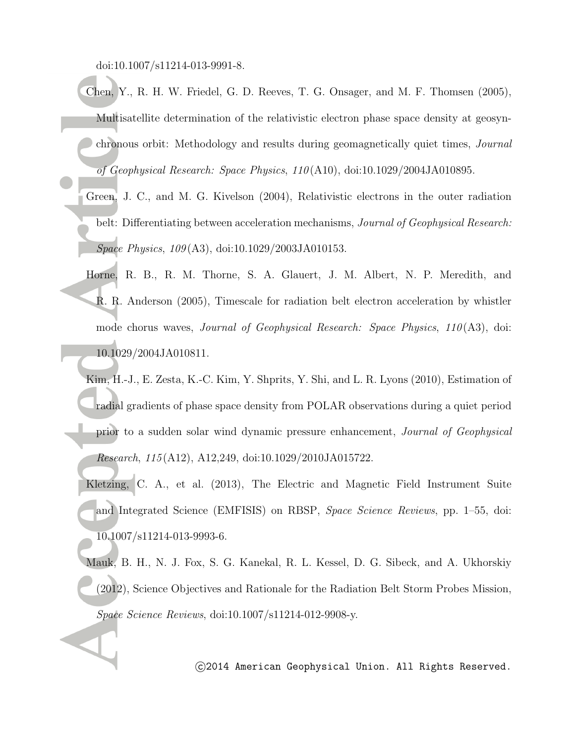doi:10.1007/s11214-013-9991-8.

- Chen, Y., R. H. W. Friedel, G. D. Reeves, T. G. Onsager, and M. F. Thomsen (2005), Multisatellite determination of the relativistic electron phase space density at geosynchronous orbit: Methodology and results during geomagnetically quiet times, *Journal of Geophysical Research: Space Physics*, *110* (A10), doi:10.1029/2004JA010895.
	- Green, J. C., and M. G. Kivelson (2004), Relativistic electrons in the outer radiation belt: Differentiating between acceleration mechanisms, *Journal of Geophysical Research: Space Physics*, *109* (A3), doi:10.1029/2003JA010153.
	- Horne, R. B., R. M. Thorne, S. A. Glauert, J. M. Albert, N. P. Meredith, and R. R. Anderson (2005), Timescale for radiation belt electron acceleration by whistler mode chorus waves, *Journal of Geophysical Research: Space Physics*, *110* (A3), doi: 10.1029/2004JA010811.
	- Kim, H.-J., E. Zesta, K.-C. Kim, Y. Shprits, Y. Shi, and L. R. Lyons (2010), Estimation of radial gradients of phase space density from POLAR observations during a quiet period prior to a sudden solar wind dynamic pressure enhancement, *Journal of Geophysical Research*, *115* (A12), A12,249, doi:10.1029/2010JA015722.
	- Kletzing, C. A., et al. (2013), The Electric and Magnetic Field Instrument Suite and Integrated Science (EMFISIS) on RBSP, *Space Science Reviews*, pp. 1–55, doi: 10.1007/s11214-013-9993-6.
	- Mauk, B. H., N. J. Fox, S. G. Kanekal, R. L. Kessel, D. G. Sibeck, and A. Ukhorskiy (2012), Science Objectives and Rationale for the Radiation Belt Storm Probes Mission, *Space Science Reviews*, doi:10.1007/s11214-012-9908-y.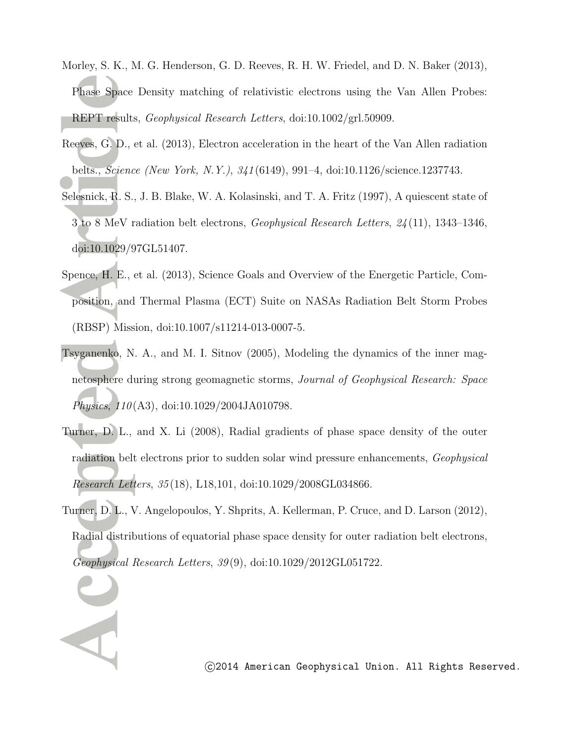- Morley, S. K., M. G. Henderson, G. D. Reeves, R. H. W. Friedel, and D. N. Baker (2013), Phase Space Density matching of relativistic electrons using the Van Allen Probes: REPT results, *Geophysical Research Letters*, doi:10.1002/grl.50909.
- Reeves, G. D., et al. (2013), Electron acceleration in the heart of the Van Allen radiation belts., *Science (New York, N.Y.)*, *341* (6149), 991–4, doi:10.1126/science.1237743.
- Selesnick, R. S., J. B. Blake, W. A. Kolasinski, and T. A. Fritz (1997), A quiescent state of 3 to 8 MeV radiation belt electrons, *Geophysical Research Letters*, *24* (11), 1343–1346, doi:10.1029/97GL51407.
- Spence, H. E., et al. (2013), Science Goals and Overview of the Energetic Particle, Composition, and Thermal Plasma (ECT) Suite on NASAs Radiation Belt Storm Probes (RBSP) Mission, doi:10.1007/s11214-013-0007-5.
- Tsyganenko, N. A., and M. I. Sitnov (2005), Modeling the dynamics of the inner magnetosphere during strong geomagnetic storms, *Journal of Geophysical Research: Space Physics*, *110* (A3), doi:10.1029/2004JA010798.
- Turner, D. L., and X. Li (2008), Radial gradients of phase space density of the outer radiation belt electrons prior to sudden solar wind pressure enhancements, *Geophysical Research Letters*, *35* (18), L18,101, doi:10.1029/2008GL034866.
- Turner, D. L., V. Angelopoulos, Y. Shprits, A. Kellerman, P. Cruce, and D. Larson (2012), Radial distributions of equatorial phase space density for outer radiation belt electrons, *Geophysical Research Letters*, *39* (9), doi:10.1029/2012GL051722.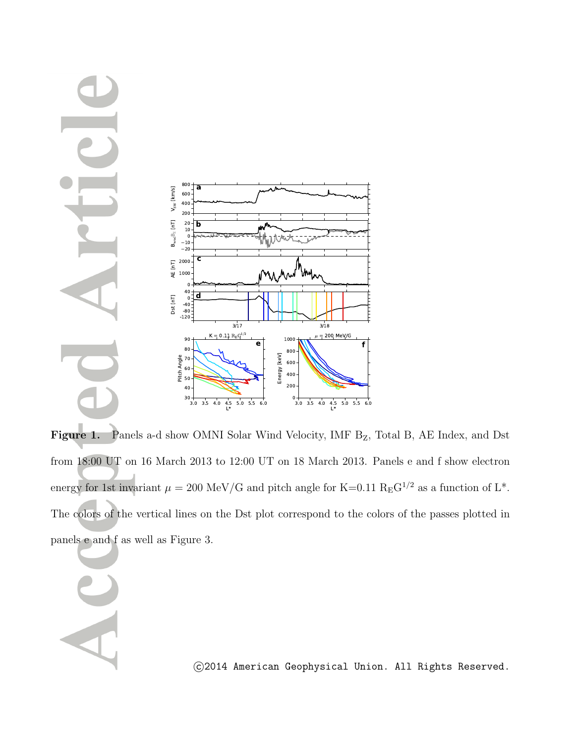

Figure 1. Panels a-d show OMNI Solar Wind Velocity, IMF B<sub>Z</sub>, Total B, AE Index, and Dst from 18:00 UT on 16 March 2013 to 12:00 UT on 18 March 2013. Panels e and f show electron energy for 1st invariant  $\mu = 200 \text{ MeV/G}$  and pitch angle for K=0.11 R<sub>E</sub>G<sup>1/2</sup> as a function of L<sup>\*</sup>. The colors of the vertical lines on the Dst plot correspond to the colors of the passes plotted in panels e and f as well as Figure 3.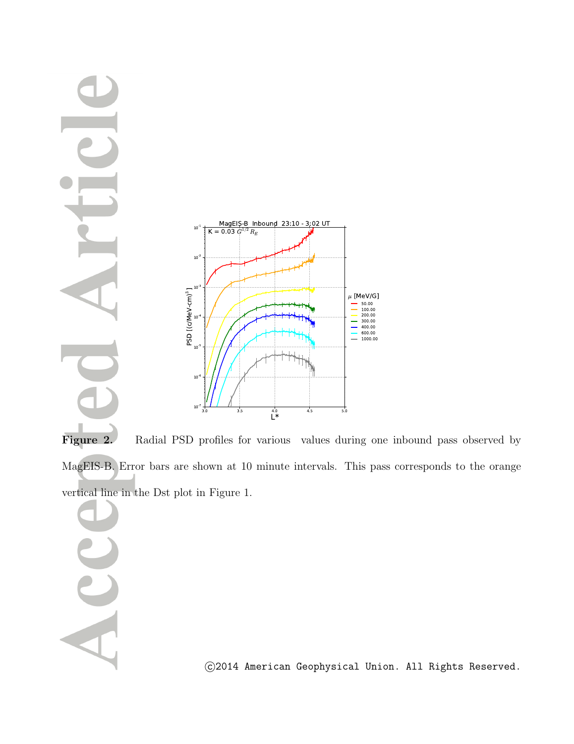

Figure 2. Radial PSD profiles for various values during one inbound pass observed by MagEIS-B. Error bars are shown at 10 minute intervals. This pass corresponds to the orange vertical line in the Dst plot in Figure 1.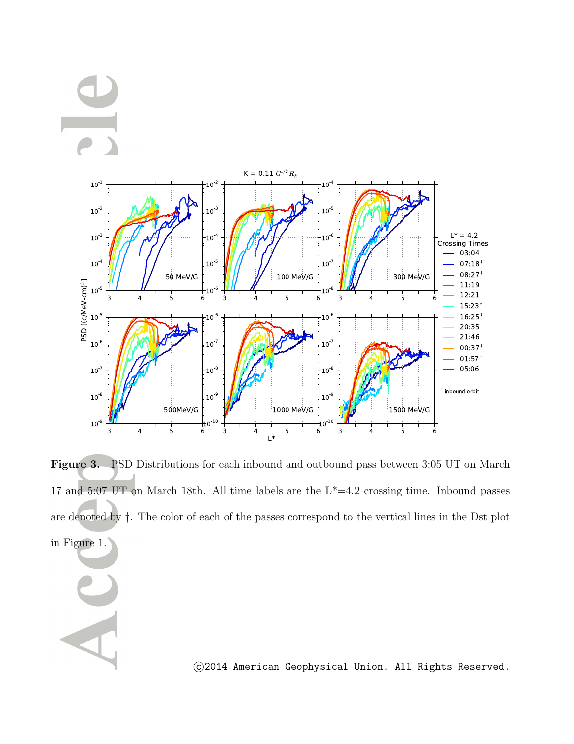



**Figure 3.** PSD Distributions for each inbound and outbound pass between 3:05 UT on March 17 and 5:07 UT on March 18th. All time labels are the  $L^*=4.2$  crossing time. Inbound passes are denoted by *†*. The color of each of the passes correspond to the vertical lines in the Dst plot in Figure 1.